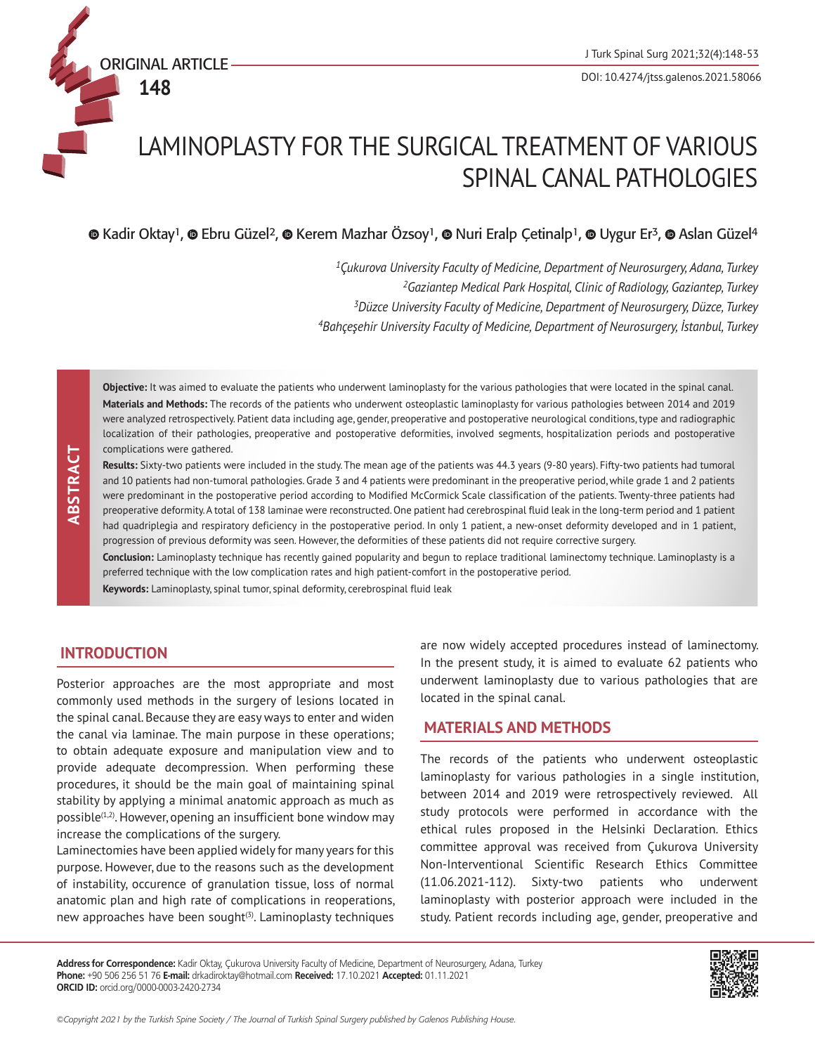

# LAMINOPLASTY FOR THE SURGICAL TREATMENT OF VARIOUS SPINAL CANAL PATHOLOGIES

**©**Kadir Oktay<sup>1</sup>, © Ebru Güzel<sup>2</sup>, © Kerem Mazhar Özsoy<sup>1</sup>, © Nuri Eralp Çetinalp<sup>1</sup>, © Uygur Er<sup>3</sup>, © Aslan Güzel<sup>4</sup>

*Çukurova University Faculty of Medicine, Department of Neurosurgery, Adana, Turkey 2Gaziantep Medical Park Hospital, Clinic of Radiology, Gaziantep, Turkey Düzce University Faculty of Medicine, Department of Neurosurgery, Düzce, Turkey Bahçeşehir University Faculty of Medicine, Department of Neurosurgery, İstanbul, Turkey*

**Objective:** It was aimed to evaluate the patients who underwent laminoplasty for the various pathologies that were located in the spinal canal. **Materials and Methods:** The records of the patients who underwent osteoplastic laminoplasty for various pathologies between 2014 and 2019 were analyzed retrospectively. Patient data including age, gender, preoperative and postoperative neurological conditions, type and radiographic localization of their pathologies, preoperative and postoperative deformities, involved segments, hospitalization periods and postoperative complications were gathered.

**Results:** Sixty-two patients were included in the study. The mean age of the patients was 44.3 years (9-80 years). Fifty-two patients had tumoral and 10 patients had non-tumoral pathologies. Grade 3 and 4 patients were predominant in the preoperative period, while grade 1 and 2 patients were predominant in the postoperative period according to Modified McCormick Scale classification of the patients. Twenty-three patients had preoperative deformity. A total of 138 laminae were reconstructed. One patient had cerebrospinal fluid leak in the long-term period and 1 patient had quadriplegia and respiratory deficiency in the postoperative period. In only 1 patient, a new-onset deformity developed and in 1 patient, progression of previous deformity was seen. However, the deformities of these patients did not require corrective surgery.

**Conclusion:** Laminoplasty technique has recently gained popularity and begun to replace traditional laminectomy technique. Laminoplasty is a preferred technique with the low complication rates and high patient-comfort in the postoperative period.

**Keywords:** Laminoplasty, spinal tumor, spinal deformity, cerebrospinal fluid leak

# **INTRODUCTION**

 **ABSTRACT**

ABSTRACT

Posterior approaches are the most appropriate and most commonly used methods in the surgery of lesions located in the spinal canal. Because they are easy ways to enter and widen the canal via laminae. The main purpose in these operations; to obtain adequate exposure and manipulation view and to provide adequate decompression. When performing these procedures, it should be the main goal of maintaining spinal stability by applying a minimal anatomic approach as much as possible $(1,2)$ . However, opening an insufficient bone window may increase the complications of the surgery.

Laminectomies have been applied widely for many years for this purpose. However, due to the reasons such as the development of instability, occurence of granulation tissue, loss of normal anatomic plan and high rate of complications in reoperations, new approaches have been sought<sup>(3)</sup>. Laminoplasty techniques

are now widely accepted procedures instead of laminectomy. In the present study, it is aimed to evaluate 62 patients who underwent laminoplasty due to various pathologies that are located in the spinal canal.

## **MATERIALS AND METHODS**

The records of the patients who underwent osteoplastic laminoplasty for various pathologies in a single institution, between 2014 and 2019 were retrospectively reviewed. All study protocols were performed in accordance with the ethical rules proposed in the Helsinki Declaration. Ethics committee approval was received from Çukurova University Non-Interventional Scientific Research Ethics Committee (11.06.2021-112). Sixty-two patients who underwent laminoplasty with posterior approach were included in the study. Patient records including age, gender, preoperative and

**Address for Correspondence:** Kadir Oktay, Çukurova University Faculty of Medicine, Department of Neurosurgery, Adana, Turkey **Phone:** +90 506 256 51 76 **E-mail:** drkadiroktay@hotmail.com **Received:** 17.10.2021 **Accepted:** 01.11.2021 **ORCID ID:** orcid.org/0000-0003-2420-2734

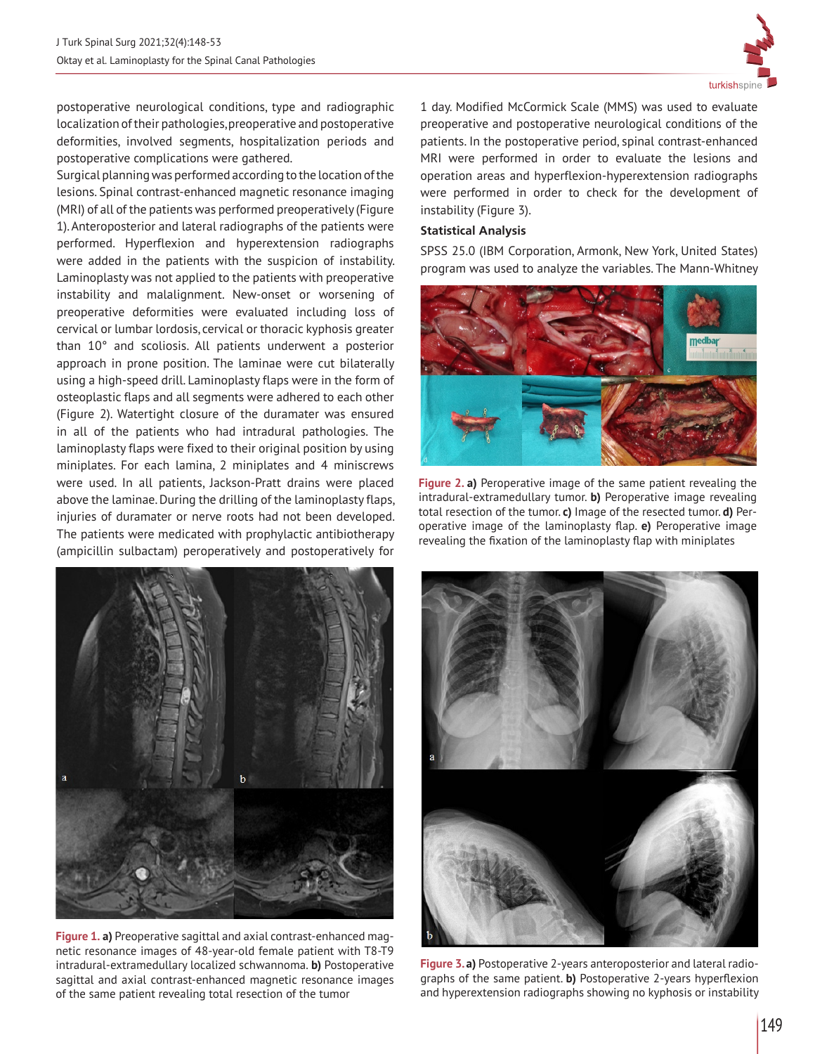

postoperative neurological conditions, type and radiographic localization of their pathologies, preoperative and postoperative deformities, involved segments, hospitalization periods and postoperative complications were gathered.

Surgical planning was performed according to the location of the lesions. Spinal contrast-enhanced magnetic resonance imaging (MRI) of all of the patients was performed preoperatively (Figure 1). Anteroposterior and lateral radiographs of the patients were performed. Hyperflexion and hyperextension radiographs were added in the patients with the suspicion of instability. Laminoplasty was not applied to the patients with preoperative instability and malalignment. New-onset or worsening of preoperative deformities were evaluated including loss of cervical or lumbar lordosis, cervical or thoracic kyphosis greater than 10° and scoliosis. All patients underwent a posterior approach in prone position. The laminae were cut bilaterally using a high-speed drill. Laminoplasty flaps were in the form of osteoplastic flaps and all segments were adhered to each other (Figure 2). Watertight closure of the duramater was ensured in all of the patients who had intradural pathologies. The laminoplasty flaps were fixed to their original position by using miniplates. For each lamina, 2 miniplates and 4 miniscrews were used. In all patients, Jackson-Pratt drains were placed above the laminae. During the drilling of the laminoplasty flaps, injuries of duramater or nerve roots had not been developed. The patients were medicated with prophylactic antibiotherapy (ampicillin sulbactam) peroperatively and postoperatively for



**Figure 1. a)** Preoperative sagittal and axial contrast-enhanced magnetic resonance images of 48-year-old female patient with T8-T9 intradural-extramedullary localized schwannoma. **b)** Postoperative sagittal and axial contrast-enhanced magnetic resonance images of the same patient revealing total resection of the tumor

1 day. Modified McCormick Scale (MMS) was used to evaluate preoperative and postoperative neurological conditions of the patients. In the postoperative period, spinal contrast-enhanced MRI were performed in order to evaluate the lesions and operation areas and hyperflexion-hyperextension radiographs were performed in order to check for the development of instability (Figure 3).

#### **Statistical Analysis**

SPSS 25.0 (IBM Corporation, Armonk, New York, United States) program was used to analyze the variables. The Mann-Whitney



**Figure 2. a)** Peroperative image of the same patient revealing the intradural-extramedullary tumor. **b)** Peroperative image revealing total resection of the tumor. **c)** Image of the resected tumor. **d)** Peroperative image of the laminoplasty flap. **e)** Peroperative image revealing the fixation of the laminoplasty flap with miniplates



**Figure 3. a)** Postoperative 2-years anteroposterior and lateral radiographs of the same patient. **b)** Postoperative 2-years hyperflexion and hyperextension radiographs showing no kyphosis or instability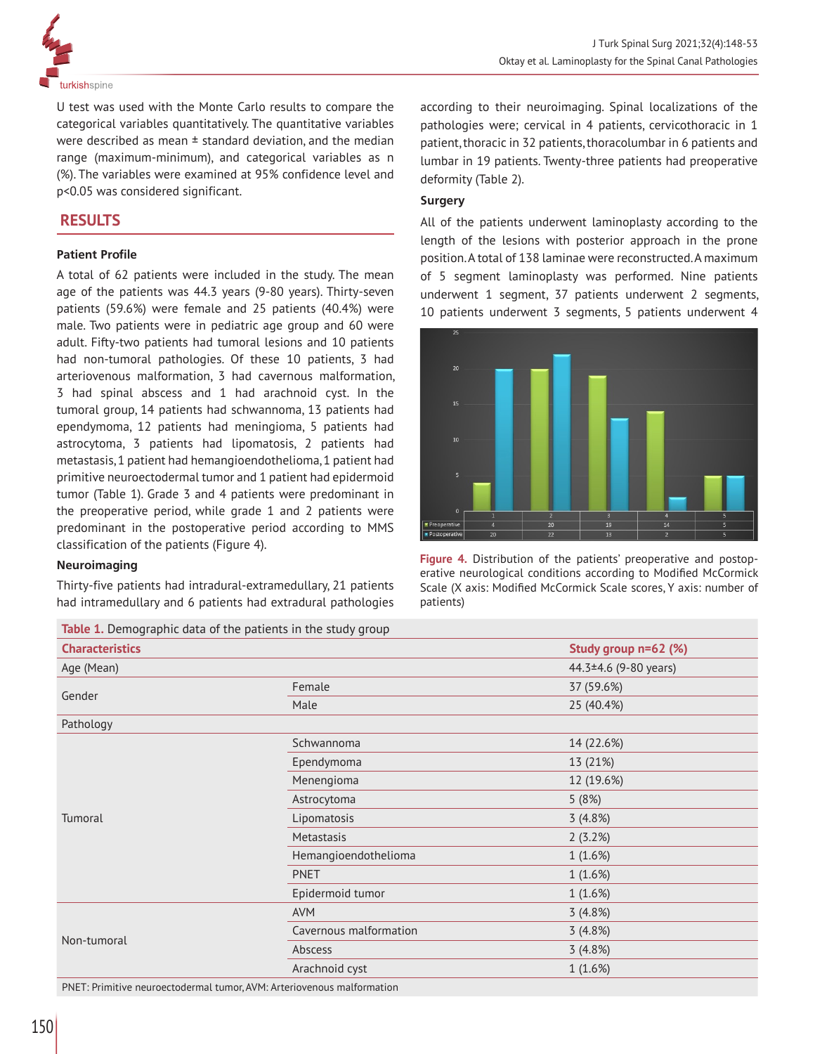

U test was used with the Monte Carlo results to compare the categorical variables quantitatively. The quantitative variables were described as mean  $\pm$  standard deviation, and the median range (maximum-minimum), and categorical variables as n (%). The variables were examined at 95% confidence level and p<0.05 was considered significant.

# **RESULTS**

## **Patient Profile**

A total of 62 patients were included in the study. The mean age of the patients was 44.3 years (9-80 years). Thirty-seven patients (59.6%) were female and 25 patients (40.4%) were male. Two patients were in pediatric age group and 60 were adult. Fifty-two patients had tumoral lesions and 10 patients had non-tumoral pathologies. Of these 10 patients, 3 had arteriovenous malformation, 3 had cavernous malformation, 3 had spinal abscess and 1 had arachnoid cyst. In the tumoral group, 14 patients had schwannoma, 13 patients had ependymoma, 12 patients had meningioma, 5 patients had astrocytoma, 3 patients had lipomatosis, 2 patients had metastasis, 1 patient had hemangioendothelioma, 1 patient had primitive neuroectodermal tumor and 1 patient had epidermoid tumor (Table 1). Grade 3 and 4 patients were predominant in the preoperative period, while grade 1 and 2 patients were predominant in the postoperative period according to MMS classification of the patients (Figure 4).

#### **Neuroimaging**

Thirty-five patients had intradural-extramedullary, 21 patients had intramedullary and 6 patients had extradural pathologies

**Table 1.** Demographic data of the patients in the study group

according to their neuroimaging. Spinal localizations of the pathologies were; cervical in 4 patients, cervicothoracic in 1 patient, thoracic in 32 patients, thoracolumbar in 6 patients and lumbar in 19 patients. Twenty-three patients had preoperative deformity (Table 2).

#### **Surgery**

All of the patients underwent laminoplasty according to the length of the lesions with posterior approach in the prone position. A total of 138 laminae were reconstructed. A maximum of 5 segment laminoplasty was performed. Nine patients underwent 1 segment, 37 patients underwent 2 segments, 10 patients underwent 3 segments, 5 patients underwent 4



**Figure 4.** Distribution of the patients' preoperative and postoperative neurological conditions according to Modified McCormick Scale (X axis: Modified McCormick Scale scores, Y axis: number of patients)

|                        | <b>lable 1.</b> Demographic data or the patients in the study group        |                             |
|------------------------|----------------------------------------------------------------------------|-----------------------------|
| <b>Characteristics</b> |                                                                            | Study group n=62 (%)        |
| Age (Mean)             |                                                                            | 44.3 $\pm$ 4.6 (9-80 years) |
| Gender                 | Female                                                                     | 37 (59.6%)                  |
|                        | Male                                                                       | 25 (40.4%)                  |
| Pathology              |                                                                            |                             |
| Tumoral                | Schwannoma                                                                 | 14 (22.6%)                  |
|                        | Ependymoma                                                                 | 13 (21%)                    |
|                        | Menengioma                                                                 | 12 (19.6%)                  |
|                        | Astrocytoma                                                                | 5(8%)                       |
|                        | Lipomatosis                                                                | 3(4.8%)                     |
|                        | Metastasis                                                                 | 2(3.2%)                     |
|                        | Hemangioendothelioma                                                       | 1(1.6%)                     |
|                        | <b>PNET</b>                                                                | 1(1.6%)                     |
|                        | Epidermoid tumor                                                           | 1(1.6%)                     |
| Non-tumoral            | <b>AVM</b>                                                                 | 3(4.8%)                     |
|                        | Cavernous malformation                                                     | 3(4.8%)                     |
|                        | Abscess                                                                    | 3(4.8%)                     |
|                        | Arachnoid cyst                                                             | 1(1.6%)                     |
|                        | $DNET: Drimitive parameters drawn from a V/M: Artariovanaus mathematician$ |                             |

PNET: Primitive neuroectodermal tumor, AVM: Arteriovenous malformation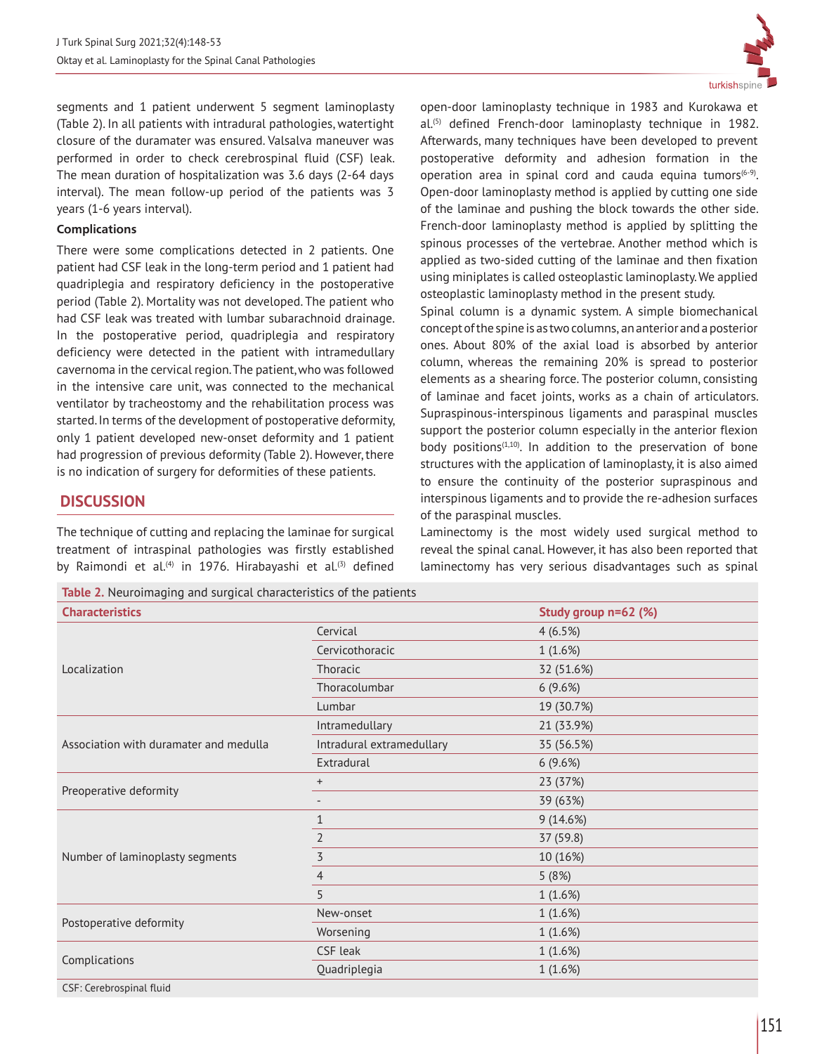

segments and 1 patient underwent 5 segment laminoplasty (Table 2). In all patients with intradural pathologies, watertight closure of the duramater was ensured. Valsalva maneuver was performed in order to check cerebrospinal fluid (CSF) leak. The mean duration of hospitalization was 3.6 days (2-64 days interval). The mean follow-up period of the patients was 3 years (1-6 years interval).

## **Complications**

There were some complications detected in 2 patients. One patient had CSF leak in the long-term period and 1 patient had quadriplegia and respiratory deficiency in the postoperative period (Table 2). Mortality was not developed. The patient who had CSF leak was treated with lumbar subarachnoid drainage. In the postoperative period, quadriplegia and respiratory deficiency were detected in the patient with intramedullary cavernoma in the cervical region. The patient, who was followed in the intensive care unit, was connected to the mechanical ventilator by tracheostomy and the rehabilitation process was started. In terms of the development of postoperative deformity, only 1 patient developed new-onset deformity and 1 patient had progression of previous deformity (Table 2). However, there is no indication of surgery for deformities of these patients.

# **DISCUSSION**

The technique of cutting and replacing the laminae for surgical treatment of intraspinal pathologies was firstly established by Raimondi et al.<sup>(4)</sup> in 1976. Hirabayashi et al.<sup>(3)</sup> defined

**Table 2.** Neuroimaging and surgical characteristics of the patients

open-door laminoplasty technique in 1983 and Kurokawa et al.(5) defined French-door laminoplasty technique in 1982. Afterwards, many techniques have been developed to prevent postoperative deformity and adhesion formation in the operation area in spinal cord and cauda equina tumors $(6-9)$ . Open-door laminoplasty method is applied by cutting one side of the laminae and pushing the block towards the other side. French-door laminoplasty method is applied by splitting the spinous processes of the vertebrae. Another method which is applied as two-sided cutting of the laminae and then fixation using miniplates is called osteoplastic laminoplasty. We applied osteoplastic laminoplasty method in the present study.

Spinal column is a dynamic system. A simple biomechanical concept of the spine is as two columns, an anterior and a posterior ones. About 80% of the axial load is absorbed by anterior column, whereas the remaining 20% is spread to posterior elements as a shearing force. The posterior column, consisting of laminae and facet joints, works as a chain of articulators. Supraspinous-interspinous ligaments and paraspinal muscles support the posterior column especially in the anterior flexion body positions<sup>(1,10)</sup>. In addition to the preservation of bone structures with the application of laminoplasty, it is also aimed to ensure the continuity of the posterior supraspinous and interspinous ligaments and to provide the re-adhesion surfaces of the paraspinal muscles.

Laminectomy is the most widely used surgical method to reveal the spinal canal. However, it has also been reported that laminectomy has very serious disadvantages such as spinal

| <b>Characteristics</b>                 |                           | Study group n=62 (%) |
|----------------------------------------|---------------------------|----------------------|
|                                        | Cervical                  | 4(6.5%)              |
|                                        | Cervicothoracic           | 1(1.6%)              |
| Localization                           | Thoracic                  | 32 (51.6%)           |
|                                        | Thoracolumbar             | 6(9.6%)              |
|                                        | Lumbar                    | 19 (30.7%)           |
|                                        | Intramedullary            | 21 (33.9%)           |
| Association with duramater and medulla | Intradural extramedullary | 35 (56.5%)           |
|                                        | Extradural                | 6(9.6%)              |
| Preoperative deformity                 | $+$                       | 23 (37%)             |
|                                        |                           | 39 (63%)             |
|                                        | $\mathbf{1}$              | 9(14.6%)             |
|                                        | $\overline{2}$            | 37 (59.8)            |
| Number of laminoplasty segments        | $\overline{\mathbf{5}}$   | 10 (16%)             |
|                                        | $\overline{4}$            | 5(8%)                |
|                                        | 5                         | 1(1.6%)              |
| Postoperative deformity                | New-onset                 | 1(1.6%)              |
|                                        | Worsening                 | 1(1.6%)              |
|                                        | CSF leak                  | 1(1.6%)              |
| Complications                          | Quadriplegia              | 1(1.6%)              |
| CSF: Cerebrospinal fluid               |                           |                      |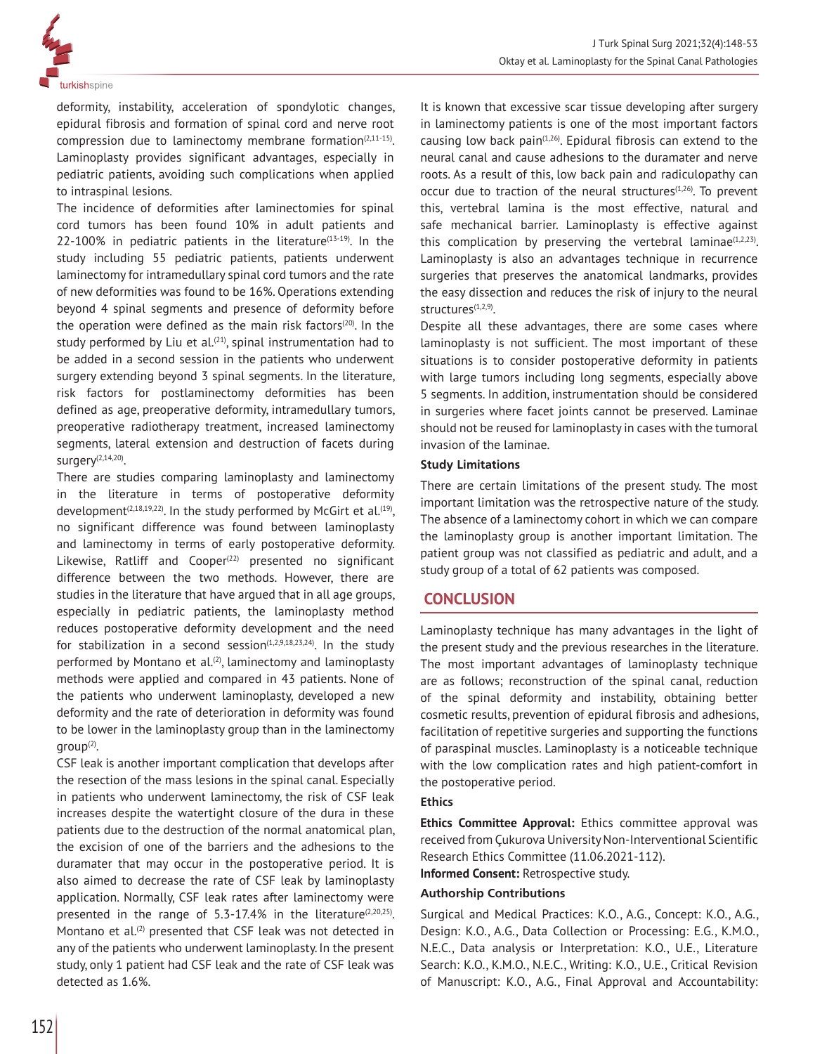

deformity, instability, acceleration of spondylotic changes, epidural fibrosis and formation of spinal cord and nerve root compression due to laminectomy membrane formation $(2,11-15)$ . Laminoplasty provides significant advantages, especially in pediatric patients, avoiding such complications when applied to intraspinal lesions.

The incidence of deformities after laminectomies for spinal cord tumors has been found 10% in adult patients and  $22-100%$  in pediatric patients in the literature<sup>(13-19)</sup>. In the study including 55 pediatric patients, patients underwent laminectomy for intramedullary spinal cord tumors and the rate of new deformities was found to be 16%. Operations extending beyond 4 spinal segments and presence of deformity before the operation were defined as the main risk factors $(20)$ . In the study performed by Liu et al.<sup>(21)</sup>, spinal instrumentation had to be added in a second session in the patients who underwent surgery extending beyond 3 spinal segments. In the literature, risk factors for postlaminectomy deformities has been defined as age, preoperative deformity, intramedullary tumors, preoperative radiotherapy treatment, increased laminectomy segments, lateral extension and destruction of facets during surgery $(2,14,20)$ .

There are studies comparing laminoplasty and laminectomy in the literature in terms of postoperative deformity development<sup>(2,18,19,22)</sup>. In the study performed by McGirt et al.<sup>(19)</sup>, no significant difference was found between laminoplasty and laminectomy in terms of early postoperative deformity. Likewise, Ratliff and  $Cooper<sup>(22)</sup>$  presented no significant difference between the two methods. However, there are studies in the literature that have argued that in all age groups, especially in pediatric patients, the laminoplasty method reduces postoperative deformity development and the need for stabilization in a second session $(1,2,9,18,23,24)$ . In the study performed by Montano et al.<sup>(2)</sup>, laminectomy and laminoplasty methods were applied and compared in 43 patients. None of the patients who underwent laminoplasty, developed a new deformity and the rate of deterioration in deformity was found to be lower in the laminoplasty group than in the laminectomy  $qroup<sup>(2)</sup>$ .

CSF leak is another important complication that develops after the resection of the mass lesions in the spinal canal. Especially in patients who underwent laminectomy, the risk of CSF leak increases despite the watertight closure of the dura in these patients due to the destruction of the normal anatomical plan, the excision of one of the barriers and the adhesions to the duramater that may occur in the postoperative period. It is also aimed to decrease the rate of CSF leak by laminoplasty application. Normally, CSF leak rates after laminectomy were presented in the range of 5.3-17.4% in the literature $(2,20,25)$ . Montano et  $al^{(2)}$  presented that CSF leak was not detected in any of the patients who underwent laminoplasty. In the present study, only 1 patient had CSF leak and the rate of CSF leak was detected as 1.6%.

It is known that excessive scar tissue developing after surgery in laminectomy patients is one of the most important factors causing low back pain<sup> $(1,26)$ </sup>. Epidural fibrosis can extend to the neural canal and cause adhesions to the duramater and nerve roots. As a result of this, low back pain and radiculopathy can occur due to traction of the neural structures<sup>(1,26)</sup>. To prevent this, vertebral lamina is the most effective, natural and safe mechanical barrier. Laminoplasty is effective against this complication by preserving the vertebral laminae $(1,2,23)$ . Laminoplasty is also an advantages technique in recurrence surgeries that preserves the anatomical landmarks, provides the easy dissection and reduces the risk of injury to the neural structures<sup>(1,2,9)</sup>.

Despite all these advantages, there are some cases where laminoplasty is not sufficient. The most important of these situations is to consider postoperative deformity in patients with large tumors including long segments, especially above 5 segments. In addition, instrumentation should be considered in surgeries where facet joints cannot be preserved. Laminae should not be reused for laminoplasty in cases with the tumoral invasion of the laminae.

### **Study Limitations**

There are certain limitations of the present study. The most important limitation was the retrospective nature of the study. The absence of a laminectomy cohort in which we can compare the laminoplasty group is another important limitation. The patient group was not classified as pediatric and adult, and a study group of a total of 62 patients was composed.

## **CONCLUSION**

Laminoplasty technique has many advantages in the light of the present study and the previous researches in the literature. The most important advantages of laminoplasty technique are as follows; reconstruction of the spinal canal, reduction of the spinal deformity and instability, obtaining better cosmetic results, prevention of epidural fibrosis and adhesions, facilitation of repetitive surgeries and supporting the functions of paraspinal muscles. Laminoplasty is a noticeable technique with the low complication rates and high patient-comfort in the postoperative period.

#### **Ethics**

**Ethics Committee Approval:** Ethics committee approval was received from Çukurova University Non-Interventional Scientific Research Ethics Committee (11.06.2021-112).

**Informed Consent:** Retrospective study.

## **Authorship Contributions**

Surgical and Medical Practices: K.O., A.G., Concept: K.O., A.G., Design: K.O., A.G., Data Collection or Processing: E.G., K.M.O., N.E.C., Data analysis or Interpretation: K.O., U.E., Literature Search: K.O., K.M.O., N.E.C., Writing: K.O., U.E., Critical Revision of Manuscript: K.O., A.G., Final Approval and Accountability: